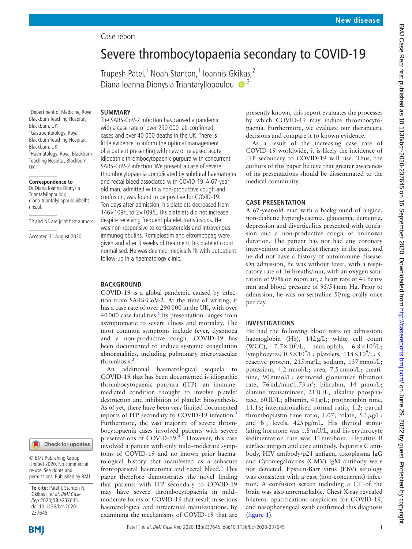# BMJ Case Rep: first published as 10.1136/bcr-2020-237645 on 15 September 2020. Downloaded from http://casereports.bmj.com/ on June 29, 2022 by guest. Protected by copyright. BMJ Case Rep: first published as 10.1136/bcr-2020-2020-2020 apprember 2020. Downloaded from <http://casereports.bmj.com/> on June 29, 2022 by guest. Protected by copyright.

# Case report

# Severe thrombocytopaenia secondary to COVID-19

Trupesh Patel,<sup>1</sup> Noah Stanton,<sup>1</sup> Ioannis Gkikas,<sup>2</sup> Diana Ioanna Dionysia Triantafyllopoulou <sup>1</sup>

# **SUMMARY**

1 Department of Medicine, Royal Blackburn Teaching Hospital, Blackburn, UK <sup>2</sup> Gastroenterology, Royal Blackburn Teaching Hospital, Blackburn, UK 3 Haematology, Royal Blackburn Teaching Hospital, Blackburn, UK

# **Correspondence to**

Dr Diana Ioanna Dionysia Triantafyllopoulou; diana.triantafyllopoulou@elht. nhs.uk

TP and NS are joint first authors.

Accepted 31 August 2020

### Check for updates

© BMJ Publishing Group Limited 2020. No commercial re-use. See rights and permissions. Published by BMJ.

**To cite:** Patel T, Stanton N, Gkikas I, et al. BMJ Case Rep 2020;**13**:e237645. doi:10.1136/bcr-2020- 237645

The SARS-CoV-2 infection has caused a pandemic with a case rate of over 290 000 lab-confirmed cases and over 40 000 deaths in the UK. There is little evidence to inform the optimal management of a patient presenting with new or relapsed acute idiopathic thrombocytopaenic purpura with concurrent SARS-CoV-2 infection. We present a case of severe thrombocytopaenia complicated by subdural haematoma and rectal bleed associated with COVID-19. A 67-yearold man, admitted with a non-productive cough and confusion, was found to be positive for COVID-19. Ten days after admission, his platelets decreased from 146×109/L to 2×109/L. His platelets did not increase despite receiving frequent platelet transfusions. He was non-responsive to corticosteroids and intravenous immunoglobulins. Romiplostim and eltrombopag were given and after 9 weeks of treatment, his platelet count normalised. He was deemed medically fit with outpatient follow-up in a haematology clinic.

# **BACKGROUND**

COVID-19 is a global pandemic caused by infection from SARS-CoV-2. At the time of writing, it has a case rate of over 290000 in the UK, with over  $40000$  case fatalities.<sup>[1](#page-3-0)</sup> Its presentation ranges from asymptomatic to severe illness and mortality. The most common symptoms include fever, dyspnoea and a non-productive cough. COVID-19 has been documented to induce systemic coagulation abnormalities, including pulmonary microvascular thrombosis.<sup>[2](#page-3-1)</sup>

An additional haematological sequela to COVID-19 that has been documented is idiopathic thrombocytopaenic purpura (ITP)—an immunemediated condition thought to involve platelet destruction and inhibition of platelet biosynthesis. As of yet, there have been very limited documented reports of ITP secondary to COVID-19 infection.<sup>[3](#page-3-2)</sup> Furthermore, the vast majority of severe thrombocytopaenia cases involved patients with severe presentations of COVID-19. $4\overline{3}$  However, this case involved a patient with only mild–moderate symptoms of COVID-19 and no known prior haematological history that manifested as a subacute frontoparietal haematoma and rectal bleed.<sup>[6](#page-3-4)</sup> This paper therefore demonstrates the novel finding that patients with ITP secondary to COVID-19 may have severe thrombocytopaenia in mild– moderate forms of COVID-19 that result in serious haematological and intracranial manifestations. By examining the mechanisms of COVID-19 that are

presently known, this report evaluates the processes by which COVID-19 may induce thrombocytopaenia. Furthermore, we evaluate our therapeutic decisions and compare it to known evidence.

As a result of the increasing case rate of COVID-19 worldwide, it is likely the incidence of ITP secondary to COVID-19 will rise. Thus, the authors of this paper believe that greater awareness of its presentations should be disseminated to the medical community.

# **CASE PRESENTATION**

A 67-year-old man with a background of angina, non-diabetic hyperglycaemia, glaucoma, dementia, depression and diverticulitis presented with confusion and a non-productive cough of unknown duration. The patient has not had any coronary intervention or antiplatelet therapy in the past, and he did not have a history of autoimmune disease. On admission, he was without fever, with a respiratory rate of 16 breaths/min, with an oxygen saturation of 99% on room air, a heart rate of 46 beats/ min and blood pressure of 95/54mm Hg. Prior to admission, he was on sertraline 50mg orally once per day.

## **INVESTIGATIONS**

He had the following blood tests on admission: haemoglobin (Hb), 142g/L; white cell count (WCC),  $7.7 \times 10^9$ /L; neutrophils,  $6.8 \times 10^9$ /L; lymphocytes,  $0.5 \times 10^9$ /L; platelets,  $118 \times 10^9$ /L; C reactive protein, 215mg/L; sodium, 137mmol/L; potassium, 4.2mmol/L; urea, 7.5mmol/L; creatinine, 90mmol/L; estimated glomerular filtration rate,  $76 \text{ mL/min}/1.73 \text{ m}^2$ ; bilirubin, 14  $\mu$ mol/L; alanine transaminase, 21IU/L; alkaline phosphatase, 60IU/L; albumin, 41g/L; prothrombin time, 14.1s; internationalised normal ratio, 1.2; partial thromboplastin time ratio, 1.07; folate,  $5.1 \mu g/L$ ; and  $B_{12}$  levels, 425 pg/mL. His thyroid stimulating hormone was 1.8 mU/L, and his erythrocyte sedimentation rate was 11mm/hour. Hepatitis B surface antigen and core antibody, hepatitis C antibody, HIV antibody/p24 antigen, toxoplasma IgG and Cytomegalovirus (CMV) IgM antibody were not detected. Epstein-Barr virus (EBV) serology was consistent with a past (non-concurrent) infection. A confusion screen including a CT of the brain was also unremarkable. Chest X-ray revealed bilateral opacifications suspicious for COVID-19, and nasopharyngeal swab confirmed this diagnosis ([figure](#page-1-0) 1).

**BMI**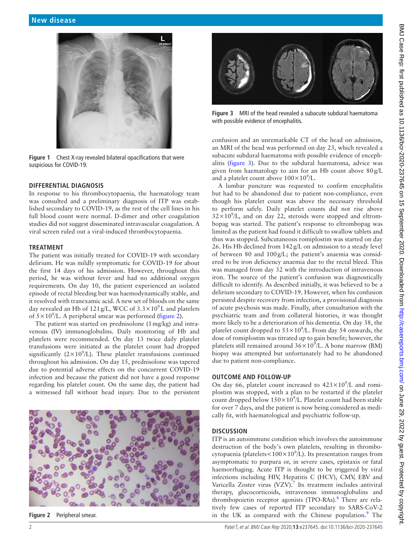

**Figure 1** Chest X-ray revealed bilateral opacifications that were suspicious for COVID-19.

### <span id="page-1-0"></span>**DIFFERENTIAL DIAGNOSIS**

In response to his thrombocytopaenia, the haematology team was consulted and a preliminary diagnosis of ITP was established secondary to COVID-19, as the rest of the cell lines in his full blood count were normal. D-dimer and other coagulation studies did not suggest disseminated intravascular coagulation. A viral screen ruled out a viral-induced thrombocytopaenia.

# **TREATMENT**

The patient was initially treated for COVID-19 with secondary delirium. He was mildly symptomatic for COVID-19 for about the first 14 days of his admission. However, throughout this period, he was without fever and had no additional oxygen requirements. On day 10, the patient experienced an isolated episode of rectal bleeding but was haemodynamically stable, and it resolved with tranexamic acid. A new set of bloods on the same day revealed an Hb of  $121 \text{ g/L}$ , WCC of  $3.3 \times 10^9$  L and platelets of  $5 \times 10^9$ /L. A peripheral smear was performed [\(figure](#page-1-1) 2).

The patient was started on prednisolone (1mg/kg) and intravenous (IV) immunoglobulins. Daily monitoring of Hb and platelets were recommended. On day 13 twice daily platelet transfusions were initiated as the platelet count had dropped significantly  $(2 \times 10^9$ /L). These platelet transfusions continued throughout his admission. On day 15, prednisolone was tapered due to potential adverse effects on the concurrent COVID-19 infection and because the patient did not have a good response regarding his platelet count. On the same day, the patient had a witnessed fall without head injury. Due to the persistent

<span id="page-1-1"></span>

**Figure 2** Peripheral smear.

<span id="page-1-2"></span>**Figure 3** MRI of the head revealed a subacute subdural haematoma with possible evidence of encephalitis.

confusion and an unremarkable CT of the head on admission, an MRI of the head was performed on day 23, which revealed a subacute subdural haematoma with possible evidence of encephalitis ([figure](#page-1-2) 3). Due to the subdural haematoma, advice was given from haematology to aim for an Hb count above 80g/L and a platelet count above  $100\times10^9$ /L.

A lumbar puncture was requested to confirm encephalitis but had to be abandoned due to patient non-compliance, even though his platelet count was above the necessary threshold to perform safely. Daily platelet counts did not rise above  $32 \times 10^9$ /L, and on day 22, steroids were stopped and eltrombopag was started. The patient's response to eltrombopag was limited as the patient had found it difficult to swallow tablets and thus was stopped. Subcutaneous romiplostim was started on day 26. His Hb declined from 142g/L on admission to a steady level of between 80 and 100g/L; the patient's anaemia was considered to be iron deficiency anaemia due to the rectal bleed. This was managed from day 32 with the introduction of intravenous iron. The source of the patient's confusion was diagnostically difficult to identify. As described initially, it was believed to be a delirium secondary to COVID-19. However, when his confusion persisted despite recovery from infection, a provisional diagnosis of acute psychosis was made. Finally, after consultation with the psychiatric team and from collateral histories, it was thought more likely to be a deterioration of his dementia. On day 38, the platelet count dropped to  $53 \times 10^9$ /L. From day 54 onwards, the dose of romiplostim was titrated up to gain benefit; however, the platelets still remained around  $36 \times 10^9$ /L. A bone marrow (BM) biopsy was attempted but unfortunately had to be abandoned due to patient non-compliance.

# **OUTCOME AND FOLLOW-UP**

On day 66, platelet count increased to  $423 \times 10^9$ /L and romiplostim was stopped, with a plan to be restarted if the platelet count dropped below  $150 \times 10^9$ /L. Platelet count had been stable for over 7 days, and the patient is now being considered as medically fit, with haematological and psychiatric follow-up.

### **DISCUSSION**

ITP is an autoimmune condition which involves the autoimmune destruction of the body's own platelets, resulting in thrombocytopaenia (platelets <  $100 \times 10^9$ /L). Its presentation ranges from asymptomatic to purpura or, in severe cases, epistaxis or fatal haemorrhaging. Acute ITP is thought to be triggered by viral infections including HIV, Hepatitis C (HCV), CMV, EBV and Varicella Zoster virus  $(VZV)$ .<sup>[7](#page-3-5)</sup> Its treatment includes antiviral therapy, glucocorticoids, intravenous immunoglobulins and thrombopoietin receptor agonists (TPO-RAs).<sup>[8](#page-3-6)</sup> There are relatively few cases of reported ITP secondary to SARS-CoV-2 in the UK as compared with the Chinese population. $9$  The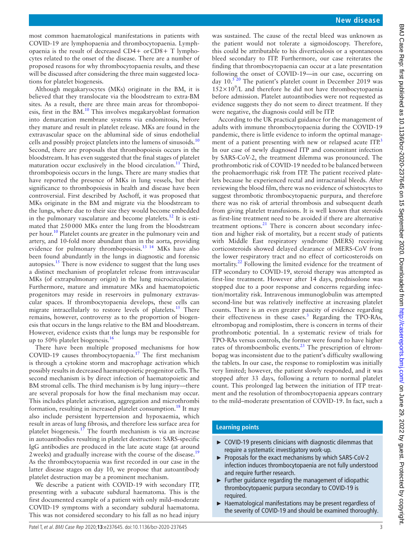Although megakaryocytes (MKs) originate in the BM, it is believed that they translocate via the bloodstream to extra-BM sites. As a result, there are three main areas for thrombopoiesis, first in the BM. $^{10}$  This involves megakaryoblast formation into demarcation membrane systems via endomitosis, before they mature and result in platelet release. MKs are found in the extravascular space on the abluminal side of sinus endothelial cells and possibly project platelets into the lumens of sinusoids.<sup>[10](#page-3-8)</sup> Second, there are proposals that thrombopoiesis occurs in the bloodstream. It has even suggested that the final stages of platelet maturation occur exclusively in the blood circulation.<sup>11</sup> Third, thrombopoiesis occurs in the lungs. There are many studies that have reported the presence of MKs in lung vessels, but their significance to thrombopoiesis in health and disease have been controversial. First described by Aschoff, it was proposed that MKs originate in the BM and migrate via the bloodstream to the lungs, where due to their size they would become embedded in the pulmonary vasculature and become platelets.<sup>12</sup> It is estimated that 250000 MKs enter the lung from the bloodstream per hour.<sup>10</sup> Platelet counts are greater in the pulmonary vein and artery, and 10-fold more abundant than in the aorta, providing evidence for pulmonary thrombopoiesis.<sup>13</sup> <sup>14</sup> MKs have also been found abundantly in the lungs in diagnostic and forensic autopsies.[15](#page-3-12) There is now evidence to suggest that the lung uses a distinct mechanism of proplatelet release from intravascular MKs (of extrapulmonary origin) in the lung microcirculation. Furthermore, mature and immature MKs and haematopoietic progenitors may reside in reservoirs in pulmonary extravascular spaces. If thrombocytopaenia develops, these cells can migrate intracellularly to restore levels of platelets.<sup>15</sup> There remains, however, controversy as to the proportion of biogenesis that occurs in the lungs relative to the BM and bloodstream. However, evidence exists that the lungs may be responsible for up to 50% platelet biogenesis.<sup>16</sup>

There have been multiple proposed mechanisms for how COVID-19 causes thrombocytopaenia.<sup>17</sup> The first mechanism is through a cytokine storm and macrophage activation which possibly results in decreased haematopoietic progenitor cells. The second mechanism is by direct infection of haematopoietic and BM stromal cells. The third mechanism is by lung injury—there are several proposals for how the final mechanism may occur. This includes platelet activation, aggregation and microthrombi formation, resulting in increased platelet consumption.<sup>[18](#page-3-15)</sup> It may also include persistent hypertension and hypoxaemia, which result in areas of lung fibrosis, and therefore less surface area for platelet biogenesis.<sup>17</sup> The fourth mechanism is via an increase in autoantibodies resulting in platelet destruction: SARS-specific IgG antibodies are produced in the late acute stage (at around 2 weeks) and gradually increase with the course of the disease.<sup>[19](#page-3-16)</sup> As the thrombocytopaenia was first recorded in our case in the latter disease stages on day 10, we propose that autoantibody platelet destruction may be a prominent mechanism.

We describe a patient with COVID-19 with secondary ITP, presenting with a subacute subdural haematoma. This is the first documented example of a patient with only mild–moderate COVID-19 symptoms with a secondary subdural haematoma. This was not considered secondary to his fall as no head injury

was sustained. The cause of the rectal bleed was unknown as the patient would not tolerate a sigmoidoscopy. Therefore, this could be attributable to his diverticulosis or a spontaneous bleed secondary to ITP. Furthermore, our case reiterates the finding that thrombocytopaenia can occur at a late presentation following the onset of COVID-19—in our case, occurring on day 10.<sup>[5 20](#page-3-17)</sup> The patient's platelet count in December 2019 was  $152\times10^9$ /L and therefore he did not have thrombocytopaenia before admission. Platelet autoantibodies were not requested as evidence suggests they do not seem to direct treatment. If they were negative, the diagnosis could still be ITP.

According to the UK practical guidance for the management of adults with immune thrombocytopaenia during the COVID-19 pandemic, there is little evidence to inform the optimal management of a patient presenting with new or relapsed acute  $ITP<sup>3</sup>$  $ITP<sup>3</sup>$  $ITP<sup>3</sup>$ In our case of newly diagnosed ITP and concomitant infection by SARS-CoV-2, the treatment dilemma was pronounced. The prothrombotic risk of COVID-19 needed to be balanced between the prohaemorrhagic risk from ITP. The patient received platelets because he experienced rectal and intracranial bleeds. After reviewing the blood film, there was no evidence of schistocytes to suggest thrombotic thrombocytopaenic purpura, and therefore there was no risk of arterial thrombosis and subsequent death from giving platelet transfusions. It is well known that steroids as first-line treatment need to be avoided if there are alternative treatment options.<sup>[21](#page-3-18)</sup> There is concern about secondary infection and higher risk of mortality, but a recent study of patients with Middle East respiratory syndrome (MERS) receiving corticosteroids showed delayed clearance of MERS-CoV from the lower respiratory tract and no effect of corticosteroids on mortality.<sup>[22](#page-3-19)</sup> Following the limited evidence for the treatment of ITP secondary to COVID-19, steroid therapy was attempted as first-line treatment. However after 14 days, prednisolone was stopped due to a poor response and concerns regarding infection/mortality risk. Intravenous immunoglobulin was attempted second-line but was relatively ineffective at increasing platelet counts. There is an even greater paucity of evidence regarding their effectiveness in these cases.<sup>[3](#page-3-2)</sup> Regarding the TPO-RAs, eltrombopag and romiplostim, there is concern in terms of their prothrombotic potential. In a systematic review of trials for TPO-RAs versus controls, the former were found to have higher rates of thromboembolic events.<sup>23</sup> The prescription of eltrombopag was inconsistent due to the patient's difficulty swallowing the tablets. In our case, the response to romiplostim was initially very limited; however, the patient slowly responded, and it was stopped after 33 days, following a return to normal platelet count. This prolonged lag between the initiation of ITP treatment and the resolution of thrombocytopaenia appears contrary to the mild–moderate presentation of COVID-19. In fact, such a

# **Learning points**

- ► COVID-19 presents clinicians with diagnostic dilemmas that require a systematic investigatory work-up.
- ► Proposals for the exact mechanisms by which SARS-CoV-2 infection induces thrombocytopaenia are not fully understood and require further research.
- $\blacktriangleright$  Further quidance regarding the management of idiopathic thrombocytopaenic purpura secondary to COVID-19 is required.
- ► Haematological manifestations may be present regardless of the severity of COVID-19 and should be examined thoroughly.